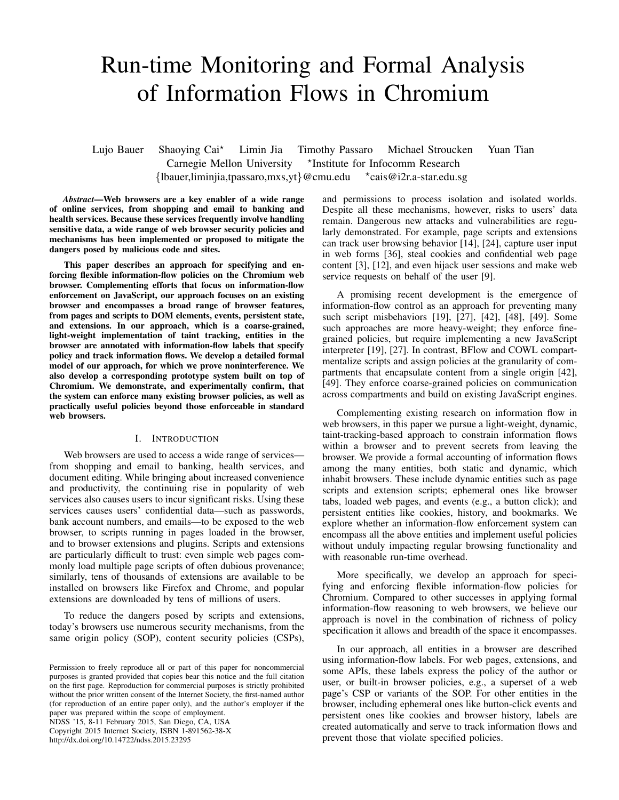# Run-time Monitoring and Formal Analysis of Information Flows in Chromium

#### Lujo Bauer Shaoying Cai? Limin Jia Timothy Passaro Michael Stroucken Yuan Tian Carnegie Mellon University ? \*Institute for Infocomm Research {lbauer,liminjia,tpassaro,mxs,yt}@cmu.edu ?  $*$ cais@i2r.a-star.edu.sg

*Abstract*—Web browsers are a key enabler of a wide range of online services, from shopping and email to banking and health services. Because these services frequently involve handling sensitive data, a wide range of web browser security policies and mechanisms has been implemented or proposed to mitigate the dangers posed by malicious code and sites.

This paper describes an approach for specifying and enforcing flexible information-flow policies on the Chromium web browser. Complementing efforts that focus on information-flow enforcement on JavaScript, our approach focuses on an existing browser and encompasses a broad range of browser features, from pages and scripts to DOM elements, events, persistent state, and extensions. In our approach, which is a coarse-grained, light-weight implementation of taint tracking, entities in the browser are annotated with information-flow labels that specify policy and track information flows. We develop a detailed formal model of our approach, for which we prove noninterference. We also develop a corresponding prototype system built on top of Chromium. We demonstrate, and experimentally confirm, that the system can enforce many existing browser policies, as well as practically useful policies beyond those enforceable in standard web browsers.

## I. INTRODUCTION

Web browsers are used to access a wide range of services from shopping and email to banking, health services, and document editing. While bringing about increased convenience and productivity, the continuing rise in popularity of web services also causes users to incur significant risks. Using these services causes users' confidential data—such as passwords, bank account numbers, and emails—to be exposed to the web browser, to scripts running in pages loaded in the browser, and to browser extensions and plugins. Scripts and extensions are particularly difficult to trust: even simple web pages commonly load multiple page scripts of often dubious provenance; similarly, tens of thousands of extensions are available to be installed on browsers like Firefox and Chrome, and popular extensions are downloaded by tens of millions of users.

To reduce the dangers posed by scripts and extensions, today's browsers use numerous security mechanisms, from the same origin policy (SOP), content security policies (CSPs),

NDSS '15, 8-11 February 2015, San Diego, CA, USA Copyright 2015 Internet Society, ISBN 1-891562-38-X http://dx.doi.org/10.14722/ndss.2015.23295

and permissions to process isolation and isolated worlds. Despite all these mechanisms, however, risks to users' data remain. Dangerous new attacks and vulnerabilities are regularly demonstrated. For example, page scripts and extensions can track user browsing behavior [14], [24], capture user input in web forms [36], steal cookies and confidential web page content [3], [12], and even hijack user sessions and make web service requests on behalf of the user [9].

A promising recent development is the emergence of information-flow control as an approach for preventing many such script misbehaviors [19], [27], [42], [48], [49]. Some such approaches are more heavy-weight; they enforce finegrained policies, but require implementing a new JavaScript interpreter [19], [27]. In contrast, BFlow and COWL compartmentalize scripts and assign policies at the granularity of compartments that encapsulate content from a single origin [42], [49]. They enforce coarse-grained policies on communication across compartments and build on existing JavaScript engines.

Complementing existing research on information flow in web browsers, in this paper we pursue a light-weight, dynamic, taint-tracking-based approach to constrain information flows within a browser and to prevent secrets from leaving the browser. We provide a formal accounting of information flows among the many entities, both static and dynamic, which inhabit browsers. These include dynamic entities such as page scripts and extension scripts; ephemeral ones like browser tabs, loaded web pages, and events (e.g., a button click); and persistent entities like cookies, history, and bookmarks. We explore whether an information-flow enforcement system can encompass all the above entities and implement useful policies without unduly impacting regular browsing functionality and with reasonable run-time overhead.

More specifically, we develop an approach for specifying and enforcing flexible information-flow policies for Chromium. Compared to other successes in applying formal information-flow reasoning to web browsers, we believe our approach is novel in the combination of richness of policy specification it allows and breadth of the space it encompasses.

In our approach, all entities in a browser are described using information-flow labels. For web pages, extensions, and some APIs, these labels express the policy of the author or user, or built-in browser policies, e.g., a superset of a web page's CSP or variants of the SOP. For other entities in the browser, including ephemeral ones like button-click events and persistent ones like cookies and browser history, labels are created automatically and serve to track information flows and prevent those that violate specified policies.

Permission to freely reproduce all or part of this paper for noncommercial purposes is granted provided that copies bear this notice and the full citation on the first page. Reproduction for commercial purposes is strictly prohibited without the prior written consent of the Internet Society, the first-named author (for reproduction of an entire paper only), and the author's employer if the paper was prepared within the scope of employment.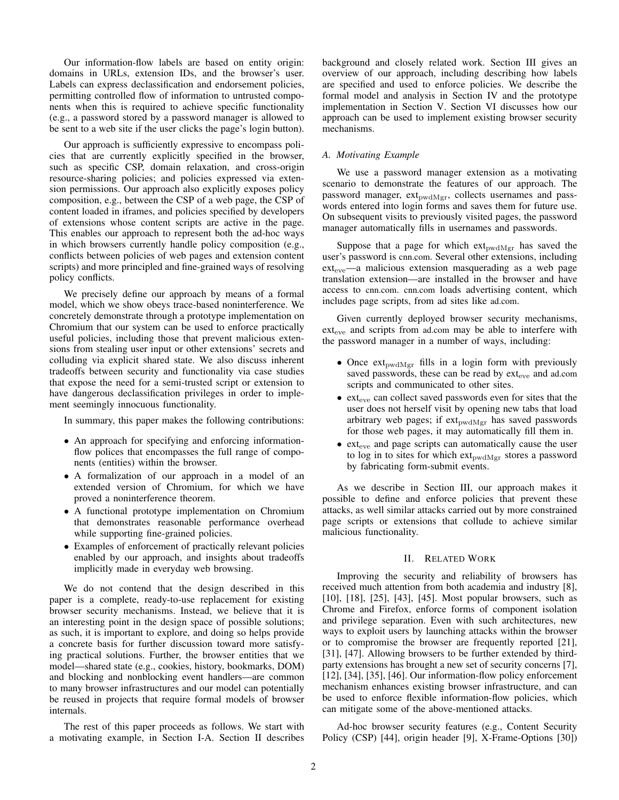Our information-flow labels are based on entity origin: domains in URLs, extension IDs, and the browser's user. Labels can express declassification and endorsement policies, permitting controlled flow of information to untrusted components when this is required to achieve specific functionality (e.g., a password stored by a password manager is allowed to be sent to a web site if the user clicks the page's login button).

Our approach is sufficiently expressive to encompass policies that are currently explicitly specified in the browser, such as specific CSP, domain relaxation, and cross-origin resource-sharing policies; and policies expressed via extension permissions. Our approach also explicitly exposes policy composition, e.g., between the CSP of a web page, the CSP of content loaded in iframes, and policies specified by developers of extensions whose content scripts are active in the page. This enables our approach to represent both the ad-hoc ways in which browsers currently handle policy composition (e.g., conflicts between policies of web pages and extension content scripts) and more principled and fine-grained ways of resolving policy conflicts.

We precisely define our approach by means of a formal model, which we show obeys trace-based noninterference. We concretely demonstrate through a prototype implementation on Chromium that our system can be used to enforce practically useful policies, including those that prevent malicious extensions from stealing user input or other extensions' secrets and colluding via explicit shared state. We also discuss inherent tradeoffs between security and functionality via case studies that expose the need for a semi-trusted script or extension to have dangerous declassification privileges in order to implement seemingly innocuous functionality.

In summary, this paper makes the following contributions:

- An approach for specifying and enforcing informationflow polices that encompasses the full range of components (entities) within the browser.
- A formalization of our approach in a model of an extended version of Chromium, for which we have proved a noninterference theorem.
- A functional prototype implementation on Chromium that demonstrates reasonable performance overhead while supporting fine-grained policies.
- Examples of enforcement of practically relevant policies enabled by our approach, and insights about tradeoffs implicitly made in everyday web browsing.

We do not contend that the design described in this paper is a complete, ready-to-use replacement for existing browser security mechanisms. Instead, we believe that it is an interesting point in the design space of possible solutions; as such, it is important to explore, and doing so helps provide a concrete basis for further discussion toward more satisfying practical solutions. Further, the browser entities that we model—shared state (e.g., cookies, history, bookmarks, DOM) and blocking and nonblocking event handlers—are common to many browser infrastructures and our model can potentially be reused in projects that require formal models of browser internals.

The rest of this paper proceeds as follows. We start with a motivating example, in Section I-A. Section II describes background and closely related work. Section III gives an overview of our approach, including describing how labels are specified and used to enforce policies. We describe the formal model and analysis in Section IV and the prototype implementation in Section V. Section VI discusses how our approach can be used to implement existing browser security mechanisms.

## *A. Motivating Example*

We use a password manager extension as a motivating scenario to demonstrate the features of our approach. The password manager, ext<sub>pwdMgr</sub>, collects usernames and passwords entered into login forms and saves them for future use. On subsequent visits to previously visited pages, the password manager automatically fills in usernames and passwords.

Suppose that a page for which  $ext_{\text{pwdMgr}}$  has saved the user's password is cnn.com. Several other extensions, including  $ext_{eve}$ —a malicious extension masquerading as a web page translation extension—are installed in the browser and have access to cnn.com. cnn.com loads advertising content, which includes page scripts, from ad sites like ad.com.

Given currently deployed browser security mechanisms,  $ext_{\text{eve}}$  and scripts from ad.com may be able to interfere with the password manager in a number of ways, including:

- Once  $ext_{\text{pwdMgr}}$  fills in a login form with previously saved passwords, these can be read by ext<sub>eve</sub> and ad.com scripts and communicated to other sites.
- $\bullet$  ext<sub>eve</sub> can collect saved passwords even for sites that the user does not herself visit by opening new tabs that load arbitrary web pages; if  $ext_{\text{pwdMgr}}$  has saved passwords for those web pages, it may automatically fill them in.
- $\bullet$  ext<sub>eve</sub> and page scripts can automatically cause the user to log in to sites for which  $ext_{\text{pwdMgr}}$  stores a password by fabricating form-submit events.

As we describe in Section III, our approach makes it possible to define and enforce policies that prevent these attacks, as well similar attacks carried out by more constrained page scripts or extensions that collude to achieve similar malicious functionality.

## II. RELATED WORK

Improving the security and reliability of browsers has received much attention from both academia and industry [8], [10], [18], [25], [43], [45]. Most popular browsers, such as Chrome and Firefox, enforce forms of component isolation and privilege separation. Even with such architectures, new ways to exploit users by launching attacks within the browser or to compromise the browser are frequently reported [21], [31], [47]. Allowing browsers to be further extended by thirdparty extensions has brought a new set of security concerns [7], [12], [34], [35], [46]. Our information-flow policy enforcement mechanism enhances existing browser infrastructure, and can be used to enforce flexible information-flow policies, which can mitigate some of the above-mentioned attacks.

Ad-hoc browser security features (e.g., Content Security Policy (CSP) [44], origin header [9], X-Frame-Options [30])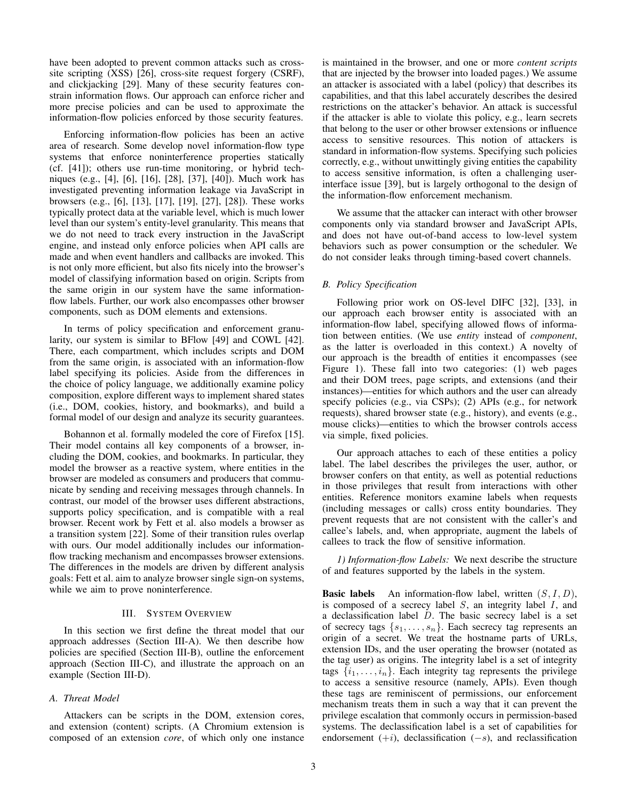have been adopted to prevent common attacks such as crosssite scripting (XSS) [26], cross-site request forgery (CSRF), and clickjacking [29]. Many of these security features constrain information flows. Our approach can enforce richer and more precise policies and can be used to approximate the information-flow policies enforced by those security features.

Enforcing information-flow policies has been an active area of research. Some develop novel information-flow type systems that enforce noninterference properties statically (cf. [41]); others use run-time monitoring, or hybrid techniques (e.g., [4], [6], [16], [28], [37], [40]). Much work has investigated preventing information leakage via JavaScript in browsers (e.g., [6], [13], [17], [19], [27], [28]). These works typically protect data at the variable level, which is much lower level than our system's entity-level granularity. This means that we do not need to track every instruction in the JavaScript engine, and instead only enforce policies when API calls are made and when event handlers and callbacks are invoked. This is not only more efficient, but also fits nicely into the browser's model of classifying information based on origin. Scripts from the same origin in our system have the same informationflow labels. Further, our work also encompasses other browser components, such as DOM elements and extensions.

In terms of policy specification and enforcement granularity, our system is similar to BFlow [49] and COWL [42]. There, each compartment, which includes scripts and DOM from the same origin, is associated with an information-flow label specifying its policies. Aside from the differences in the choice of policy language, we additionally examine policy composition, explore different ways to implement shared states (i.e., DOM, cookies, history, and bookmarks), and build a formal model of our design and analyze its security guarantees.

Bohannon et al. formally modeled the core of Firefox [15]. Their model contains all key components of a browser, including the DOM, cookies, and bookmarks. In particular, they model the browser as a reactive system, where entities in the browser are modeled as consumers and producers that communicate by sending and receiving messages through channels. In contrast, our model of the browser uses different abstractions, supports policy specification, and is compatible with a real browser. Recent work by Fett et al. also models a browser as a transition system [22]. Some of their transition rules overlap with ours. Our model additionally includes our informationflow tracking mechanism and encompasses browser extensions. The differences in the models are driven by different analysis goals: Fett et al. aim to analyze browser single sign-on systems, while we aim to prove noninterference.

#### III. SYSTEM OVERVIEW

In this section we first define the threat model that our approach addresses (Section III-A). We then describe how policies are specified (Section III-B), outline the enforcement approach (Section III-C), and illustrate the approach on an example (Section III-D).

## *A. Threat Model*

Attackers can be scripts in the DOM, extension cores, and extension (content) scripts. (A Chromium extension is composed of an extension *core*, of which only one instance is maintained in the browser, and one or more *content scripts* that are injected by the browser into loaded pages.) We assume an attacker is associated with a label (policy) that describes its capabilities, and that this label accurately describes the desired restrictions on the attacker's behavior. An attack is successful if the attacker is able to violate this policy, e.g., learn secrets that belong to the user or other browser extensions or influence access to sensitive resources. This notion of attackers is standard in information-flow systems. Specifying such policies correctly, e.g., without unwittingly giving entities the capability to access sensitive information, is often a challenging userinterface issue [39], but is largely orthogonal to the design of the information-flow enforcement mechanism.

We assume that the attacker can interact with other browser components only via standard browser and JavaScript APIs, and does not have out-of-band access to low-level system behaviors such as power consumption or the scheduler. We do not consider leaks through timing-based covert channels.

### *B. Policy Specification*

Following prior work on OS-level DIFC [32], [33], in our approach each browser entity is associated with an information-flow label, specifying allowed flows of information between entities. (We use *entity* instead of *component*, as the latter is overloaded in this context.) A novelty of our approach is the breadth of entities it encompasses (see Figure 1). These fall into two categories: (1) web pages and their DOM trees, page scripts, and extensions (and their instances)—entities for which authors and the user can already specify policies (e.g., via CSPs); (2) APIs (e.g., for network requests), shared browser state (e.g., history), and events (e.g., mouse clicks)—entities to which the browser controls access via simple, fixed policies.

Our approach attaches to each of these entities a policy label. The label describes the privileges the user, author, or browser confers on that entity, as well as potential reductions in those privileges that result from interactions with other entities. Reference monitors examine labels when requests (including messages or calls) cross entity boundaries. They prevent requests that are not consistent with the caller's and callee's labels, and, when appropriate, augment the labels of callees to track the flow of sensitive information.

*1) Information-flow Labels:* We next describe the structure of and features supported by the labels in the system.

**Basic labels** An information-flow label, written  $(S, I, D)$ , is composed of a secrecy label  $S$ , an integrity label  $I$ , and a declassification label D. The basic secrecy label is a set of secrecy tags  $\{s_1, \ldots, s_n\}$ . Each secrecy tag represents an origin of a secret. We treat the hostname parts of URLs, extension IDs, and the user operating the browser (notated as the tag user) as origins. The integrity label is a set of integrity tags  $\{i_1, \ldots, i_n\}$ . Each integrity tag represents the privilege to access a sensitive resource (namely, APIs). Even though these tags are reminiscent of permissions, our enforcement mechanism treats them in such a way that it can prevent the privilege escalation that commonly occurs in permission-based systems. The declassification label is a set of capabilities for endorsement  $(+i)$ , declassification  $(-s)$ , and reclassification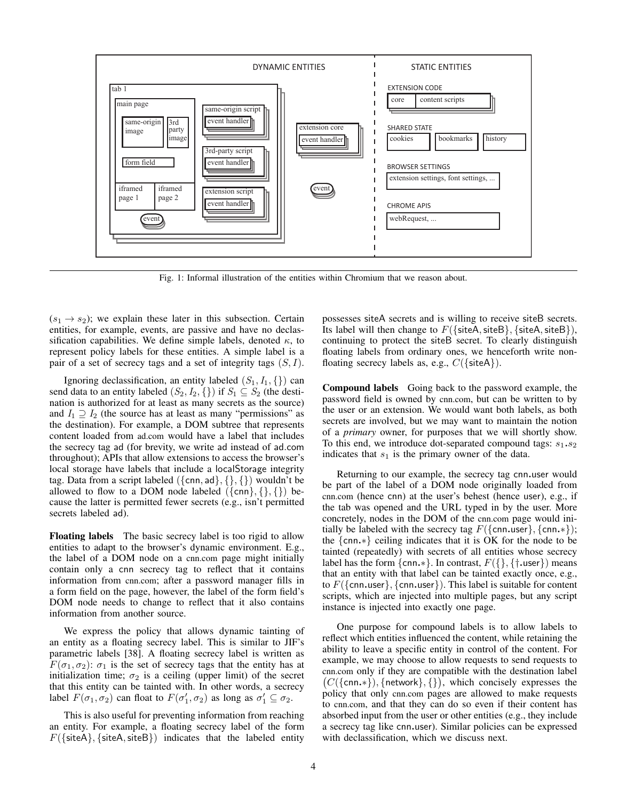

Fig. 1: Informal illustration of the entities within Chromium that we reason about.

 $(s_1 \rightarrow s_2)$ ; we explain these later in this subsection. Certain entities, for example, events, are passive and have no declassification capabilities. We define simple labels, denoted  $\kappa$ , to represent policy labels for these entities. A simple label is a pair of a set of secrecy tags and a set of integrity tags  $(S, I)$ .

Ignoring declassification, an entity labeled  $(S_1, I_1, \{\})$  can send data to an entity labeled  $(S_2, I_2, \{\})$  if  $S_1 \subseteq S_2$  (the destination is authorized for at least as many secrets as the source) and  $I_1 \supseteq I_2$  (the source has at least as many "permissions" as the destination). For example, a DOM subtree that represents content loaded from ad.com would have a label that includes the secrecy tag ad (for brevity, we write ad instead of ad.com throughout); APIs that allow extensions to access the browser's local storage have labels that include a localStorage integrity tag. Data from a script labeled  $({\text{cnn}, ad}, \{\}, \{\})$  wouldn't be allowed to flow to a DOM node labeled  $({\text{cnn}}, {\}, \})$  because the latter is permitted fewer secrets (e.g., isn't permitted secrets labeled ad).

Floating labels The basic secrecy label is too rigid to allow entities to adapt to the browser's dynamic environment. E.g., the label of a DOM node on a cnn.com page might initially contain only a cnn secrecy tag to reflect that it contains information from cnn.com; after a password manager fills in a form field on the page, however, the label of the form field's DOM node needs to change to reflect that it also contains information from another source.

We express the policy that allows dynamic tainting of an entity as a floating secrecy label. This is similar to JIF's parametric labels [38]. A floating secrecy label is written as  $F(\sigma_1, \sigma_2)$ :  $\sigma_1$  is the set of secrecy tags that the entity has at initialization time;  $\sigma_2$  is a ceiling (upper limit) of the secret that this entity can be tainted with. In other words, a secrecy label  $F(\sigma_1, \sigma_2)$  can float to  $F(\sigma'_1, \sigma_2)$  as long as  $\sigma'_1 \subseteq \sigma_2$ .

This is also useful for preventing information from reaching an entity. For example, a floating secrecy label of the form  $F({\{site A\}}, {\{site A, siteB\}})$  indicates that the labeled entity

possesses siteA secrets and is willing to receive siteB secrets. Its label will then change to  $F({\{\text{site A}, \text{site B}\}, \{\text{site A}, \text{site B}\}\)$ , continuing to protect the siteB secret. To clearly distinguish floating labels from ordinary ones, we henceforth write nonfloating secrecy labels as, e.g.,  $C({\text{site }A})$ .

Compound labels Going back to the password example, the password field is owned by cnn.com, but can be written to by the user or an extension. We would want both labels, as both secrets are involved, but we may want to maintain the notion of a *primary* owner, for purposes that we will shortly show. To this end, we introduce dot-separated compound tags:  $s_1 \cdot s_2$ indicates that  $s_1$  is the primary owner of the data.

Returning to our example, the secrecy tag cnn.user would be part of the label of a DOM node originally loaded from cnn.com (hence cnn) at the user's behest (hence user), e.g., if the tab was opened and the URL typed in by the user. More concretely, nodes in the DOM of the cnn.com page would initially be labeled with the secrecy tag  $F({\text{conn.user}}; {\text{conn.*}});$ the {cnn.∗} ceiling indicates that it is OK for the node to be tainted (repeatedly) with secrets of all entities whose secrecy label has the form  $\{cnn.*\}$ . In contrast,  $F({}, \{†.user\})$  means that an entity with that label can be tainted exactly once, e.g., to  $F({\mathsf{conn}})$ ,  ${\mathsf{conn}}$ ,  ${\mathsf{conn}}$ ,  ${\mathsf{const}}$ ). This label is suitable for content scripts, which are injected into multiple pages, but any script instance is injected into exactly one page.

One purpose for compound labels is to allow labels to reflect which entities influenced the content, while retaining the ability to leave a specific entity in control of the content. For example, we may choose to allow requests to send requests to cnn.com only if they are compatible with the destination label  $(C({\text{conn.*}}), {\text{network}}, \{\})$ , which concisely expresses the policy that only cnn.com pages are allowed to make requests to cnn.com, and that they can do so even if their content has absorbed input from the user or other entities (e.g., they include a secrecy tag like cnn.user). Similar policies can be expressed with declassification, which we discuss next.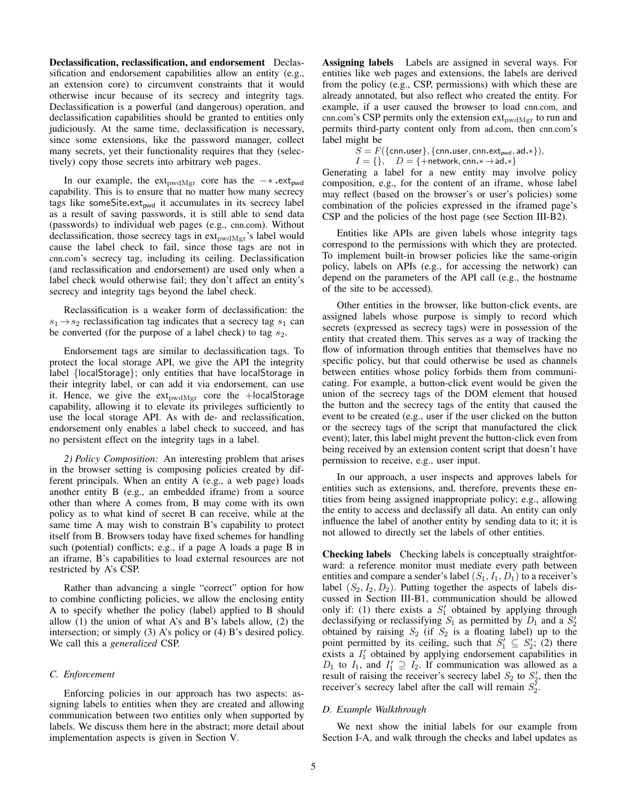Declassification, reclassification, and endorsement Declassification and endorsement capabilities allow an entity (e.g., an extension core) to circumvent constraints that it would otherwise incur because of its secrecy and integrity tags. Declassification is a powerful (and dangerous) operation, and declassification capabilities should be granted to entities only judiciously. At the same time, declassification is necessary, since some extensions, like the password manager, collect many secrets, yet their functionality requires that they (selectively) copy those secrets into arbitrary web pages.

In our example, the ext<sub>pwdMgr</sub> core has the  $-*$  .ext<sub>pwd</sub> capability. This is to ensure that no matter how many secrecy tags like someSite. $ext_{pwd}$  it accumulates in its secrecy label as a result of saving passwords, it is still able to send data (passwords) to individual web pages (e.g., cnn.com). Without declassification, those secrecy tags in  $ext{ext}_{\text{pwdMgr}}$ 's label would cause the label check to fail, since those tags are not in cnn.com's secrecy tag, including its ceiling. Declassification (and reclassification and endorsement) are used only when a label check would otherwise fail; they don't affect an entity's secrecy and integrity tags beyond the label check.

Reclassification is a weaker form of declassification: the  $s_1 \rightarrow s_2$  reclassification tag indicates that a secrecy tag  $s_1$  can be converted (for the purpose of a label check) to tag  $s_2$ .

Endorsement tags are similar to declassification tags. To protect the local storage API, we give the API the integrity label {localStorage}; only entities that have localStorage in their integrity label, or can add it via endorsement, can use it. Hence, we give the  $ext_{\text{pwdMgr}}$  core the +localStorage capability, allowing it to elevate its privileges sufficiently to use the local storage API. As with de- and reclassification, endorsement only enables a label check to succeed, and has no persistent effect on the integrity tags in a label.

*2) Policy Composition:* An interesting problem that arises in the browser setting is composing policies created by different principals. When an entity A (e.g., a web page) loads another entity B (e.g., an embedded iframe) from a source other than where A comes from, B may come with its own policy as to what kind of secret B can receive, while at the same time A may wish to constrain B's capability to protect itself from B. Browsers today have fixed schemes for handling such (potential) conflicts; e.g., if a page A loads a page B in an iframe, B's capabilities to load external resources are not restricted by A's CSP.

Rather than advancing a single "correct" option for how to combine conflicting policies, we allow the enclosing entity A to specify whether the policy (label) applied to B should allow (1) the union of what A's and B's labels allow, (2) the intersection; or simply (3) A's policy or (4) B's desired policy. We call this a *generalized* CSP.

## *C. Enforcement*

Enforcing policies in our approach has two aspects: assigning labels to entities when they are created and allowing communication between two entities only when supported by labels. We discuss them here in the abstract; more detail about implementation aspects is given in Section V.

Assigning labels Labels are assigned in several ways. For entities like web pages and extensions, the labels are derived from the policy (e.g., CSP, permissions) with which these are already annotated, but also reflect who created the entity. For example, if a user caused the browser to load cnn.com, and cnn.com's CSP permits only the extension  $ext_{\text{pwdMgr}}$  to run and permits third-party content only from ad.com, then cnn.com's label might be

> $S = F({\text{conn.user}}, {\text{conn.user, conn.ext}_{\text{pwd}}, \text{ad.}*)$  $I = \{\}, \quad D = \{\text{+network}, \text{cnn.*} \rightarrow \text{ad.*}\}$

Generating a label for a new entity may involve policy composition, e.g., for the content of an iframe, whose label may reflect (based on the browser's or user's policies) some combination of the policies expressed in the iframed page's CSP and the policies of the host page (see Section III-B2).

Entities like APIs are given labels whose integrity tags correspond to the permissions with which they are protected. To implement built-in browser policies like the same-origin policy, labels on APIs (e.g., for accessing the network) can depend on the parameters of the API call (e.g., the hostname of the site to be accessed).

Other entities in the browser, like button-click events, are assigned labels whose purpose is simply to record which secrets (expressed as secrecy tags) were in possession of the entity that created them. This serves as a way of tracking the flow of information through entities that themselves have no specific policy, but that could otherwise be used as channels between entities whose policy forbids them from communicating. For example, a button-click event would be given the union of the secrecy tags of the DOM element that housed the button and the secrecy tags of the entity that caused the event to be created (e.g., user if the user clicked on the button or the secrecy tags of the script that manufactured the click event); later, this label might prevent the button-click even from being received by an extension content script that doesn't have permission to receive, e.g., user input.

In our approach, a user inspects and approves labels for entities such as extensions, and, therefore, prevents these entities from being assigned inappropriate policy; e.g., allowing the entity to access and declassify all data. An entity can only influence the label of another entity by sending data to it; it is not allowed to directly set the labels of other entities.

Checking labels Checking labels is conceptually straightforward: a reference monitor must mediate every path between entities and compare a sender's label  $(S_1, I_1, D_1)$  to a receiver's label  $(S_2, I_2, D_2)$ . Putting together the aspects of labels discussed in Section III-B1, communication should be allowed only if: (1) there exists a  $S'_1$  obtained by applying through declassifying or reclassifying  $S_1$  as permitted by  $D_1$  and a  $S_2$ obtained by raising  $S_2$  (if  $S_2$  is a floating label) up to the point permitted by its ceiling, such that  $S'_1 \subseteq S'_2$ ; (2) there exists a  $I'_1$  obtained by applying endorsement capabilities in  $D_1$  to  $I_1$ , and  $I'_1 \supseteq I_2$ . If communication was allowed as a result of raising the receiver's secrecy label  $S_2$  to  $S'_2$ , then the receiver's secrecy label after the call will remain  $S_2^7$ .

## *D. Example Walkthrough*

We next show the initial labels for our example from Section I-A, and walk through the checks and label updates as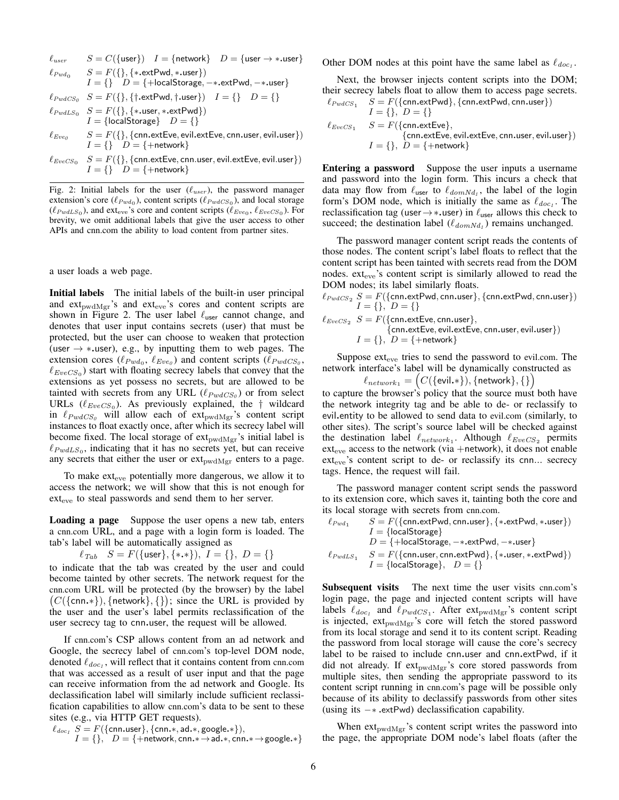$\ell_{user} \qquad S = C(\{\textsf{user}\}) \quad I = \{\textsf{network}\} \quad D = \{\textsf{user} \to \ast.\textsf{user}\}$  $\rho_{pmd} = S = F(\{\}, \{*, \text{extPwd}, *, \text{user}\})$ 

$$
I = \{\} \quad D = \{\text{+localStorage}, \text{--a.} \text{+excl word}, \text{--a.} \text{+user}\}
$$

$$
\ell_{PwdCS_0} \quad S = F(\{\}, \{\dagger.\text{extPwd}, \dagger.\text{user}\}) \quad I = \{\} \quad D = \{\}
$$

- $\ell_{PwdLS_0}$   $S = F({}, \{*\texttt{.user}, \ast\texttt{.extPwd}})$  $I = \{localStorage\}$   $D = \{\}$
- $\ell_{Eve0}$   $S = F({}, \{\text{cnn.extEve}, \text{evil.extEve}, \text{cnn.user}, \text{evil.user}\})$  $I = \{\}$   $D = \{$  + network  $\}$
- $\ell_{EveCS_0}$   $S = F({},$  {cnn.extEve, cnn.user, evil.extEve, evil.user})  $I = \{\}\$   $D = \{+$ network $\}$

Fig. 2: Initial labels for the user  $(\ell_{user})$ , the password manager extension's core ( $(\ell_{Pwd_0})$ , content scripts ( $(\ell_{PwdCS_0})$ , and local storage  $(\ell_{PwdLS_0})$ , and ext<sub>eve</sub>'s core and content scripts ( $\ell_{Eve_0}, \ell_{EveCS_0}$ ). For brevity, we omit additional labels that give the user access to other APIs and cnn.com the ability to load content from partner sites.

a user loads a web page.

Initial labels The initial labels of the built-in user principal and  $ext_{pwdMgr}$ 's and  $ext_{eve}$ 's cores and content scripts are shown in Figure 2. The user label  $\ell_{user}$  cannot change, and denotes that user input contains secrets (user) that must be protected, but the user can choose to weaken that protection (user  $\rightarrow$  \*.user), e.g., by inputting them to web pages. The extension cores  $(\ell_{Pwd_0}, \ell_{Eve_0})$  and content scripts  $(\ell_{PwdCS_0},$  $\ell_{EveCS_0}$ ) start with floating secrecy labels that convey that the extensions as yet possess no secrets, but are allowed to be tainted with secrets from any URL  $(\ell_{PwdCS_0})$  or from select URLs  $(\ell_{EveCS_0})$ . As previously explained, the  $\dagger$  wildcard in  $\ell_{PwdCS_0}$  will allow each of ext<sub>pwdMgr</sub>'s content script instances to float exactly once, after which its secrecy label will become fixed. The local storage of  $ext{ext}_{\text{pwdMgr}}$ 's initial label is  $\ell_{PwdLS_0}$ , indicating that it has no secrets yet, but can receive any secrets that either the user or  $ext_{\text{pwdMgr}}$  enters to a page.

To make ext<sub>eve</sub> potentially more dangerous, we allow it to access the network; we will show that this is not enough for ext<sub>eve</sub> to steal passwords and send them to her server.

Loading a page Suppose the user opens a new tab, enters a cnn.com URL, and a page with a login form is loaded. The tab's label will be automatically assigned as

$$
\ell_{Tab} \quad S = F(\{\text{user}\}, \{*,*\}), \ I = \{\}, \ D = \{\}
$$

to indicate that the tab was created by the user and could become tainted by other secrets. The network request for the cnn.com URL will be protected (by the browser) by the label  $(C({\text{conn.*}}), {\text{network}}, \{\})$ ; since the URL is provided by the user and the user's label permits reclassification of the user secrecy tag to cnn.user, the request will be allowed.

If cnn.com's CSP allows content from an ad network and Google, the secrecy label of cnn.com's top-level DOM node, denoted  $\ell_{doc_1}$ , will reflect that it contains content from cnn.com that was accessed as a result of user input and that the page can receive information from the ad network and Google. Its declassification label will similarly include sufficient reclassification capabilities to allow cnn.com's data to be sent to these sites (e.g., via HTTP GET requests).

$$
\begin{array}{l}\ell_{doc_I} \ S = F(\{\mathsf{cnn}.\mathsf{user}\}, \{\mathsf{cnn}.*, \mathsf{ad}.*, \mathsf{google}.*\}),\\ I = \{\}, \ \ D = \{\mathsf{+network}, \mathsf{cnn}.* \rightarrow \mathsf{ad}.*, \mathsf{cnn}.* \rightarrow \mathsf{google}.*\}\end{array}
$$

Other DOM nodes at this point have the same label as  $\ell_{doc_1}$ .

Next, the browser injects content scripts into the DOM; their secrecy labels float to allow them to access page secrets.

$$
\ell_{PwdCS_1} \quad S = F(\{\text{cnn.extPwd}\}, \{\text{cnn.extPwd}, \text{cnn.user}\})
$$
\n
$$
I = \{\}, D = \{\}
$$
\n
$$
\ell_{EveCS_1} \quad S = F(\{\text{cnn.extEve}\}, \{\text{cnn.extEve}, \text{cnil.extEve}, \text{cnn.user}, \text{evil.user}\})
$$
\n
$$
I = \{\}, D = \{\text{+network}\}
$$

Entering a password Suppose the user inputs a username and password into the login form. This incurs a check that data may flow from  $\ell_{\text{user}}$  to  $\ell_{\text{dom}Nd_1}$ , the label of the login form's DOM node, which is initially the same as  $\ell_{doc_1}$ . The reclassification tag (user  $\rightarrow$  ∗.user) in  $\ell_{user}$  allows this check to succeed; the destination label  $(\ell_{domNd_1})$  remains unchanged.

The password manager content script reads the contents of those nodes. The content script's label floats to reflect that the content script has been tainted with secrets read from the DOM nodes.  $ext{ext}_{eve}$ 's content script is similarly allowed to read the DOM nodes; its label similarly floats.

$$
\ell_{PwdCS_2} S = F(\{\text{cnn.extPwd}, \text{cnn.user}\}, \{\text{cnn.extPwd}, \text{cnn.user}\})
$$

$$
I = \{\}, D = \{\}
$$

$$
\ell_{EveCS_2} \ S = F(\{\text{cnn.exitEve}, \text{cnn.user}\}, \{\text{cnn.exitEve}, \text{evil.exitEve}, \text{cnn.user}, \text{evil.user}\})
$$

$$
I = \{\}, D = \{\text{+network}\}\
$$

Suppose  $ext_{eve}$  tries to send the password to evil.com. The network interface's label will be dynamically constructed as

$$
\ell_{network_1} = \Big(C(\{\text{evil.}*\}), \{\text{network}\}, \{\}\Big)
$$

to capture the browser's policy that the source must both have the network integrity tag and be able to de- or reclassify to evil.entity to be allowed to send data to evil.com (similarly, to other sites). The script's source label will be checked against the destination label  $\ell_{network_1}$ . Although  $\ell_{EveCS_2}$  permits  $ext_{eve}$  access to the network (via +network), it does not enable ext<sub>eve</sub>'s content script to de- or reclassify its cnn... secrecy tags. Hence, the request will fail.

The password manager content script sends the password to its extension core, which saves it, tainting both the core and its local storage with secrets from cnn.com.

$$
\begin{matrix} \ell_{Pwd_1} & S = F(\{\mathsf{cnn}.\mathsf{extPwd},\mathsf{cnn}.\mathsf{user}\}, \{*.\mathsf{extPwd}, *\mathsf{user}\}) \\ I = \{\mathsf{localStorage}\} \\ D = \{\mathsf{+localStorage}, -*\mathsf{extPwd}, -*\mathsf{user}\} \\ \ell_{PwdLS_1} & S = F(\{\mathsf{cnn}.\mathsf{user},\mathsf{cnn}.\mathsf{extPwd}\}, \{*.\mathsf{user}, *\mathsf{extPwd}\}) \\ I = \{\mathsf{localStorage}\}, & D = \{\} \end{matrix}
$$

Subsequent visits The next time the user visits cnn.com's login page, the page and injected content scripts will have labels  $\ell_{doc_1}$  and  $\ell_{PwdCS_1}$ . After ext<sub>pwdMgr</sub>'s content script is injected,  $ext{ext}_{\text{pwdMgr}}$ 's core will fetch the stored password from its local storage and send it to its content script. Reading the password from local storage will cause the core's secrecy label to be raised to include cnn.user and cnn.extPwd, if it did not already. If  $ext_{pwdMgr}$ 's core stored passwords from multiple sites, then sending the appropriate password to its content script running in cnn.com's page will be possible only because of its ability to declassify passwords from other sites (using its −∗ .extPwd) declassification capability.

When  $ext_{\text{pwdMgr}}$ 's content script writes the password into the page, the appropriate DOM node's label floats (after the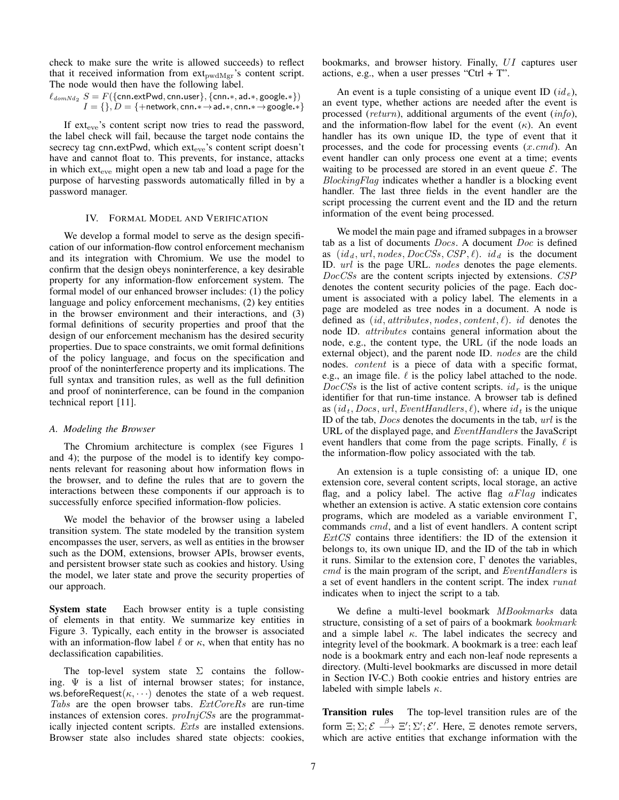check to make sure the write is allowed succeeds) to reflect that it received information from  $ext{ext}_{\text{pwdMgr}}$ 's content script. The node would then have the following label.

 $\ell_{\text{dom}Nd_2} S = F({\text{conn.extPwd}, \text{cnn.user}} , {\text{conn.*, ad.*}, \text{google.*}})$ I = {}, D = {+network, cnn.∗→ad.∗, cnn.∗→google.∗}

If  $ext{ext}_{eve}$ 's content script now tries to read the password, the label check will fail, because the target node contains the secrecy tag cnn.extPwd, which ext<sub>eve</sub>'s content script doesn't have and cannot float to. This prevents, for instance, attacks in which  $ext{ext}_{eve}$  might open a new tab and load a page for the purpose of harvesting passwords automatically filled in by a password manager.

#### IV. FORMAL MODEL AND VERIFICATION

We develop a formal model to serve as the design specification of our information-flow control enforcement mechanism and its integration with Chromium. We use the model to confirm that the design obeys noninterference, a key desirable property for any information-flow enforcement system. The formal model of our enhanced browser includes: (1) the policy language and policy enforcement mechanisms, (2) key entities in the browser environment and their interactions, and (3) formal definitions of security properties and proof that the design of our enforcement mechanism has the desired security properties. Due to space constraints, we omit formal definitions of the policy language, and focus on the specification and proof of the noninterference property and its implications. The full syntax and transition rules, as well as the full definition and proof of noninterference, can be found in the companion technical report [11].

#### *A. Modeling the Browser*

The Chromium architecture is complex (see Figures 1 and 4); the purpose of the model is to identify key components relevant for reasoning about how information flows in the browser, and to define the rules that are to govern the interactions between these components if our approach is to successfully enforce specified information-flow policies.

We model the behavior of the browser using a labeled transition system. The state modeled by the transition system encompasses the user, servers, as well as entities in the browser such as the DOM, extensions, browser APIs, browser events, and persistent browser state such as cookies and history. Using the model, we later state and prove the security properties of our approach.

System state Each browser entity is a tuple consisting of elements in that entity. We summarize key entities in Figure 3. Typically, each entity in the browser is associated with an information-flow label  $\ell$  or  $\kappa$ , when that entity has no declassification capabilities.

The top-level system state  $\Sigma$  contains the following.  $\Psi$  is a list of internal browser states; for instance, ws.beforeRequest( $\kappa$ ,  $\cdots$ ) denotes the state of a web request. Tabs are the open browser tabs. ExtCoreRs are run-time instances of extension cores.  $proInjCSs$  are the programmatically injected content scripts. Exts are installed extensions. Browser state also includes shared state objects: cookies, bookmarks, and browser history. Finally, UI captures user actions, e.g., when a user presses " $Ctrl + T$ ".

An event is a tuple consisting of a unique event ID  $(id_e)$ , an event type, whether actions are needed after the event is processed (return), additional arguments of the event (info), and the information-flow label for the event  $(\kappa)$ . An event handler has its own unique ID, the type of event that it processes, and the code for processing events  $(x.cmd)$ . An event handler can only process one event at a time; events waiting to be processed are stored in an event queue  $\mathcal{E}$ . The BlockingFlag indicates whether a handler is a blocking event handler. The last three fields in the event handler are the script processing the current event and the ID and the return information of the event being processed.

We model the main page and iframed subpages in a browser tab as a list of documents Docs. A document Doc is defined as  $(id_d, url, nodes, DocCSs, CSP, \ell)$ .  $id_d$  is the document ID. url is the page URL. nodes denotes the page elements. DocCSs are the content scripts injected by extensions. CSP denotes the content security policies of the page. Each document is associated with a policy label. The elements in a page are modeled as tree nodes in a document. A node is defined as  $(id, attributes, nodes, content, \ell)$ . id denotes the node ID. attributes contains general information about the node, e.g., the content type, the URL (if the node loads an external object), and the parent node ID. *nodes* are the child nodes. content is a piece of data with a specific format, e.g., an image file.  $\ell$  is the policy label attached to the node.  $DocCSs$  is the list of active content scripts.  $id<sub>r</sub>$  is the unique identifier for that run-time instance. A browser tab is defined as  $(id_t, Does, url, EventHandlers, \ell)$ , where  $id_t$  is the unique ID of the tab, Docs denotes the documents in the tab, url is the URL of the displayed page, and *EventHandlers* the JavaScript event handlers that come from the page scripts. Finally,  $\ell$  is the information-flow policy associated with the tab.

An extension is a tuple consisting of: a unique ID, one extension core, several content scripts, local storage, an active flag, and a policy label. The active flag  $aFlag$  indicates whether an extension is active. A static extension core contains programs, which are modeled as a variable environment Γ, commands cmd, and a list of event handlers. A content script ExtCS contains three identifiers: the ID of the extension it belongs to, its own unique ID, and the ID of the tab in which it runs. Similar to the extension core, Γ denotes the variables, cmd is the main program of the script, and EventHandlers is a set of event handlers in the content script. The index runat indicates when to inject the script to a tab.

We define a multi-level bookmark MBookmarks data structure, consisting of a set of pairs of a bookmark bookmark and a simple label  $\kappa$ . The label indicates the secrecy and integrity level of the bookmark. A bookmark is a tree: each leaf node is a bookmark entry and each non-leaf node represents a directory. (Multi-level bookmarks are discussed in more detail in Section IV-C.) Both cookie entries and history entries are labeled with simple labels  $\kappa$ .

Transition rules The top-level transition rules are of the form  $\Xi; \Sigma; \mathcal{E} \stackrel{\beta}{\longrightarrow} \Xi'; \Sigma'; \mathcal{E}'$ . Here,  $\Xi$  denotes remote servers, which are active entities that exchange information with the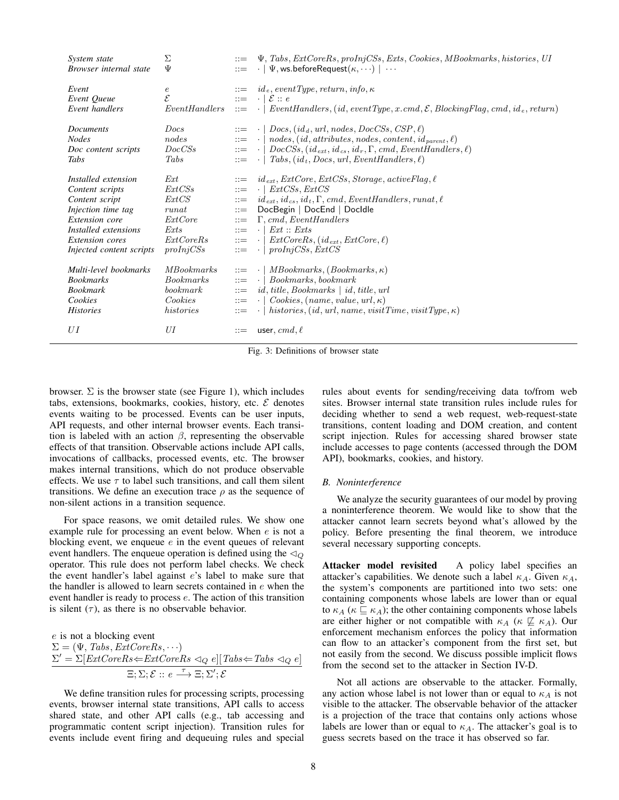| System state<br>Browser internal state                                                                                                                                                | Σ<br>Ψ                                                                              | $::=$<br>$::=$                                              | $\Psi$ , Tabs, ExtCoreRs, proInjCSs, Exts, Cookies, MBookmarks, histories, UI<br>$\cdot$   $\Psi$ , ws.beforeRequest $(\kappa, \dots)$   $\dots$                                                                                                                                                                                                           |
|---------------------------------------------------------------------------------------------------------------------------------------------------------------------------------------|-------------------------------------------------------------------------------------|-------------------------------------------------------------|------------------------------------------------------------------------------------------------------------------------------------------------------------------------------------------------------------------------------------------------------------------------------------------------------------------------------------------------------------|
| Event<br>Event Queue<br>Event handlers                                                                                                                                                | $\epsilon$<br>$\mathcal E$<br>EventHandlers                                         | $::=$<br>$::=$                                              | $id_e$ , eventType, return, info, $\kappa$<br>$\cdot \mid \mathcal{E} :: e$<br>$\cdot$ EventHandlers, (id, eventType, x.cmd, E, BlockingFlag, cmd, id <sub>e</sub> , return)                                                                                                                                                                               |
| Documents<br><b>Nodes</b><br>Doc content scripts<br>Tabs                                                                                                                              | Docs<br>nodes<br>DocCSs<br><i>Tabs</i>                                              | $::=$<br>$::=$<br>$::=$<br>$::=$                            | $Docs, (id_d, url, nodes, DocCSs, CSP, \ell)$<br>$\cdot$   nodes, (id, attributes, nodes, content, id <sub>parent</sub> , $\ell$ )<br>$\cdot$   DocCSs, (id ext, id cs, id r, $\Gamma$ , cmd, EventHandlers, $\ell$ )<br>$Tabs, (id_t, Does, url, EventHandlers, \ell)$<br>$\bullet$                                                                       |
| Installed extension<br>Content scripts<br>Content script<br>Injection time tag<br><i>Extension core</i><br>Installed extensions<br><b>Extension</b> cores<br>Injected content scripts | Ext<br>ExtCSs<br>ExtCS<br>runat<br><i>ExtCore</i><br>Exts<br>ExtCoreRs<br>proInjCSs | $::=$<br>$::=$<br>$::=$<br>$::=$<br>$::=$<br>$::=$<br>$::=$ | $id_{ext}$ , ExtCore, ExtCSs, Storage, activeFlag, $\ell$<br>$\cdot$   ExtCSs, ExtCS<br>$id_{ext}, id_{cs}, id_{t}, \Gamma, cmd, EventHandlers, runat, \ell$<br>DocBegin   DocEnd   DocIdle<br>$\Gamma$ , cmd, EventHandlers<br>Ext :: Ext<br>$\sim$<br>$\cdot$   ExtCoreRs, (id <sub>ext,</sub> ExtCore, $\ell$ )<br>$\mid$ proInjCSs, ExtCS<br>$\bullet$ |
| Multi-level bookmarks<br><b>Bookmarks</b><br><b>Bookmark</b><br>Cookies<br><i>Histories</i>                                                                                           | <b>MBookmarks</b><br><i>Bookmarks</i><br>bookmark<br>Cookies<br>histories           | $::=$<br>$::=$<br>$::=$<br>$::=$<br>$::=$                   | $\cdot$   MBookmarks, (Bookmarks, $\kappa$ )<br>Bookmarks, bookmark<br>$\Box$<br>id, title, Bookmarks   id, title, url<br>$\cdot$   Cookies, (name, value, url, $\kappa$ )<br>$\cdot$   histories, (id, url, name, visitTime, visitType, $\kappa$ )                                                                                                        |
| UI                                                                                                                                                                                    | UI                                                                                  | $::=$                                                       | user, $cmd, \ell$                                                                                                                                                                                                                                                                                                                                          |

Fig. 3: Definitions of browser state

browser.  $\Sigma$  is the browser state (see Figure 1), which includes tabs, extensions, bookmarks, cookies, history, etc.  $\mathcal E$  denotes events waiting to be processed. Events can be user inputs, API requests, and other internal browser events. Each transition is labeled with an action  $\beta$ , representing the observable effects of that transition. Observable actions include API calls, invocations of callbacks, processed events, etc. The browser makes internal transitions, which do not produce observable effects. We use  $\tau$  to label such transitions, and call them silent transitions. We define an execution trace  $\rho$  as the sequence of non-silent actions in a transition sequence.

For space reasons, we omit detailed rules. We show one example rule for processing an event below. When  $e$  is not a blocking event, we enqueue  $e$  in the event queues of relevant event handlers. The enqueue operation is defined using the  $\triangleleft_Q$ operator. This rule does not perform label checks. We check the event handler's label against e's label to make sure that the handler is allowed to learn secrets contained in  $e$  when the event handler is ready to process e. The action of this transition is silent  $(\tau)$ , as there is no observable behavior.

e is not a blocking event  $\Sigma = (\Psi, \text{Tabs}, \text{ExtCoreRs}, \cdots)$  $\Sigma' = \Sigma [ExtCoreRs \Leftarrow ExtCoreRs \triangleleft_Q e][Tabs \Leftarrow Tabs \triangleleft_Q e]$  $\overline{\Xi}; \Sigma; \mathcal{E} :: e \stackrel{\tau}{\longrightarrow} \Xi; \Sigma'; \mathcal{E}$ 

We define transition rules for processing scripts, processing events, browser internal state transitions, API calls to access shared state, and other API calls (e.g., tab accessing and programmatic content script injection). Transition rules for events include event firing and dequeuing rules and special

rules about events for sending/receiving data to/from web sites. Browser internal state transition rules include rules for deciding whether to send a web request, web-request-state transitions, content loading and DOM creation, and content script injection. Rules for accessing shared browser state include accesses to page contents (accessed through the DOM API), bookmarks, cookies, and history.

## *B. Noninterference*

We analyze the security guarantees of our model by proving a noninterference theorem. We would like to show that the attacker cannot learn secrets beyond what's allowed by the policy. Before presenting the final theorem, we introduce several necessary supporting concepts.

Attacker model revisited A policy label specifies an attacker's capabilities. We denote such a label  $\kappa_A$ . Given  $\kappa_A$ , the system's components are partitioned into two sets: one containing components whose labels are lower than or equal to  $\kappa_A$  ( $\kappa \sqsubseteq \kappa_A$ ); the other containing components whose labels are either higher or not compatible with  $\kappa_A$  ( $\kappa \not\sqsubseteq \kappa_A$ ). Our enforcement mechanism enforces the policy that information can flow to an attacker's component from the first set, but not easily from the second. We discuss possible implicit flows from the second set to the attacker in Section IV-D.

Not all actions are observable to the attacker. Formally, any action whose label is not lower than or equal to  $\kappa_A$  is not visible to the attacker. The observable behavior of the attacker is a projection of the trace that contains only actions whose labels are lower than or equal to  $\kappa_A$ . The attacker's goal is to guess secrets based on the trace it has observed so far.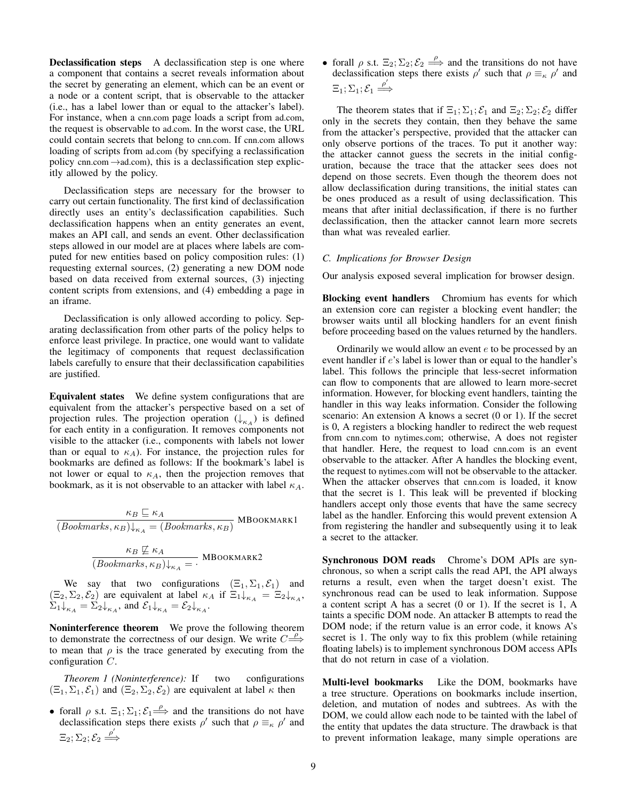**Declassification steps** A declassification step is one where a component that contains a secret reveals information about the secret by generating an element, which can be an event or a node or a content script, that is observable to the attacker (i.e., has a label lower than or equal to the attacker's label). For instance, when a cnn.com page loads a script from ad.com, the request is observable to ad.com. In the worst case, the URL could contain secrets that belong to cnn.com. If cnn.com allows loading of scripts from ad.com (by specifying a reclassification policy cnn.com  $\rightarrow$ ad.com), this is a declassification step explicitly allowed by the policy.

Declassification steps are necessary for the browser to carry out certain functionality. The first kind of declassification directly uses an entity's declassification capabilities. Such declassification happens when an entity generates an event, makes an API call, and sends an event. Other declassification steps allowed in our model are at places where labels are computed for new entities based on policy composition rules: (1) requesting external sources, (2) generating a new DOM node based on data received from external sources, (3) injecting content scripts from extensions, and (4) embedding a page in an iframe.

Declassification is only allowed according to policy. Separating declassification from other parts of the policy helps to enforce least privilege. In practice, one would want to validate the legitimacy of components that request declassification labels carefully to ensure that their declassification capabilities are justified.

Equivalent states We define system configurations that are equivalent from the attacker's perspective based on a set of projection rules. The projection operation  $(\downarrow_{\kappa_A})$  is defined for each entity in a configuration. It removes components not visible to the attacker (i.e., components with labels not lower than or equal to  $\kappa_A$ ). For instance, the projection rules for bookmarks are defined as follows: If the bookmark's label is not lower or equal to  $\kappa_A$ , then the projection removes that bookmark, as it is not observable to an attacker with label  $\kappa_A$ .

$$
\frac{\kappa_B \sqsubseteq \kappa_A}{(Bookmarks, \kappa_B)\downarrow_{\kappa_A} = (Bookmarks, \kappa_B)}
$$
 MBookmark

$$
\frac{\kappa_B \not\sqsubseteq \kappa_A}{(Bookmarks, \kappa_B)\big\downarrow_{\kappa_A} = \cdot} \text{ MBookmark2}
$$

We say that two configurations  $(\Xi_1, \Sigma_1, \mathcal{E}_1)$  and  $(\Xi_2, \Sigma_2, \mathcal{E}_2)$  are equivalent at label  $\kappa_A$  if  $\Xi_1 \downarrow_{\kappa_A} = \Xi_2 \downarrow_{\kappa_A}$ ,  $\Sigma_1\downarrow_{\kappa_A} = \Sigma_2\downarrow_{\kappa_A}$ , and  $\mathcal{E}_1\downarrow_{\kappa_A} = \mathcal{E}_2\downarrow_{\kappa_A}$ .

Noninterference theorem We prove the following theorem to demonstrate the correctness of our design. We write  $C \rightarrow$ to mean that  $\rho$  is the trace generated by executing from the configuration C.

*Theorem 1 (Noninterference):* If two configurations  $(\Xi_1, \Sigma_1, \mathcal{E}_1)$  and  $(\Xi_2, \Sigma_2, \mathcal{E}_2)$  are equivalent at label  $\kappa$  then

• forall  $\rho$  s.t.  $\Xi_1$ ;  $\Sigma_1$ ;  $\mathcal{E}_1 \stackrel{\rho}{\Longrightarrow}$  and the transitions do not have declassification steps there exists  $\rho'$  such that  $\rho \equiv_{\kappa} \rho'$  and  $\Xi_2; \Sigma_2; \mathcal{E}_2 \stackrel{\rho'}{\Longrightarrow}$ 

• forall  $\rho$  s.t.  $\Xi_2$ ;  $\Sigma_2$ ;  $\mathcal{E}_2 \stackrel{\rho}{\Longrightarrow}$  and the transitions do not have declassification steps there exists  $\rho'$  such that  $\rho \equiv_{\kappa} \rho'$  and  $\Xi_1;\Sigma_1;\mathcal{E}_1\stackrel{\rho'}{\Longrightarrow}$ 

The theorem states that if  $\Xi_1$ ;  $\Sigma_1$ ;  $\mathcal{E}_1$  and  $\Xi_2$ ;  $\Sigma_2$ ;  $\mathcal{E}_2$  differ only in the secrets they contain, then they behave the same from the attacker's perspective, provided that the attacker can only observe portions of the traces. To put it another way: the attacker cannot guess the secrets in the initial configuration, because the trace that the attacker sees does not depend on those secrets. Even though the theorem does not allow declassification during transitions, the initial states can be ones produced as a result of using declassification. This means that after initial declassification, if there is no further declassification, then the attacker cannot learn more secrets than what was revealed earlier.

#### *C. Implications for Browser Design*

Our analysis exposed several implication for browser design.

Blocking event handlers Chromium has events for which an extension core can register a blocking event handler; the browser waits until all blocking handlers for an event finish before proceeding based on the values returned by the handlers.

Ordinarily we would allow an event  $e$  to be processed by an event handler if e's label is lower than or equal to the handler's label. This follows the principle that less-secret information can flow to components that are allowed to learn more-secret information. However, for blocking event handlers, tainting the handler in this way leaks information. Consider the following scenario: An extension A knows a secret (0 or 1). If the secret is 0, A registers a blocking handler to redirect the web request from cnn.com to nytimes.com; otherwise, A does not register that handler. Here, the request to load cnn.com is an event observable to the attacker. After A handles the blocking event, the request to nytimes.com will not be observable to the attacker. When the attacker observes that cnn.com is loaded, it know that the secret is 1. This leak will be prevented if blocking handlers accept only those events that have the same secrecy label as the handler. Enforcing this would prevent extension A from registering the handler and subsequently using it to leak a secret to the attacker.

Synchronous DOM reads Chrome's DOM APIs are synchronous, so when a script calls the read API, the API always returns a result, even when the target doesn't exist. The synchronous read can be used to leak information. Suppose a content script A has a secret (0 or 1). If the secret is 1, A taints a specific DOM node. An attacker B attempts to read the DOM node; if the return value is an error code, it knows A's secret is 1. The only way to fix this problem (while retaining floating labels) is to implement synchronous DOM access APIs that do not return in case of a violation.

Multi-level bookmarks Like the DOM, bookmarks have a tree structure. Operations on bookmarks include insertion, deletion, and mutation of nodes and subtrees. As with the DOM, we could allow each node to be tainted with the label of the entity that updates the data structure. The drawback is that to prevent information leakage, many simple operations are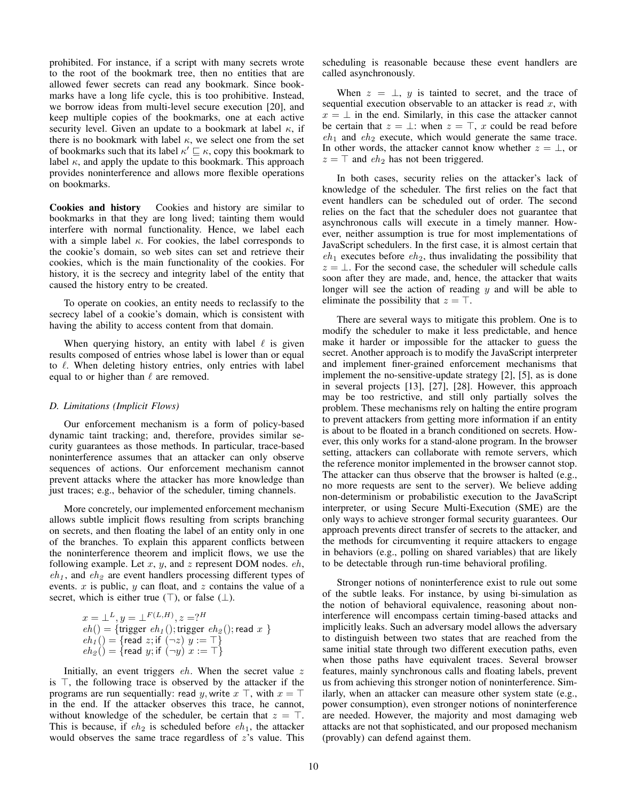prohibited. For instance, if a script with many secrets wrote to the root of the bookmark tree, then no entities that are allowed fewer secrets can read any bookmark. Since bookmarks have a long life cycle, this is too prohibitive. Instead, we borrow ideas from multi-level secure execution [20], and keep multiple copies of the bookmarks, one at each active security level. Given an update to a bookmark at label  $\kappa$ , if there is no bookmark with label  $\kappa$ , we select one from the set of bookmarks such that its label  $\kappa' \sqsubseteq \kappa$ , copy this bookmark to label  $\kappa$ , and apply the update to this bookmark. This approach provides noninterference and allows more flexible operations on bookmarks.

Cookies and history Cookies and history are similar to bookmarks in that they are long lived; tainting them would interfere with normal functionality. Hence, we label each with a simple label  $\kappa$ . For cookies, the label corresponds to the cookie's domain, so web sites can set and retrieve their cookies, which is the main functionality of the cookies. For history, it is the secrecy and integrity label of the entity that caused the history entry to be created.

To operate on cookies, an entity needs to reclassify to the secrecy label of a cookie's domain, which is consistent with having the ability to access content from that domain.

When querying history, an entity with label  $\ell$  is given results composed of entries whose label is lower than or equal to  $\ell$ . When deleting history entries, only entries with label equal to or higher than  $\ell$  are removed.

## *D. Limitations (Implicit Flows)*

Our enforcement mechanism is a form of policy-based dynamic taint tracking; and, therefore, provides similar security guarantees as those methods. In particular, trace-based noninterference assumes that an attacker can only observe sequences of actions. Our enforcement mechanism cannot prevent attacks where the attacker has more knowledge than just traces; e.g., behavior of the scheduler, timing channels.

More concretely, our implemented enforcement mechanism allows subtle implicit flows resulting from scripts branching on secrets, and then floating the label of an entity only in one of the branches. To explain this apparent conflicts between the noninterference theorem and implicit flows, we use the following example. Let  $x, y$ , and  $z$  represent DOM nodes.  $eh$ ,  $eh_1$ , and  $eh_2$  are event handlers processing different types of events.  $x$  is public,  $y$  can float, and  $z$  contains the value of a secret, which is either true  $(\top)$ , or false  $(\bot)$ .

$$
x = \bot^L, y = \bot^{F(L,H)}, z = ?^H
$$
  
eh() = {trigger eh<sub>I</sub>(); trigger eh<sub>2</sub>(); read x }  
eh<sub>I</sub>() = {read z; if ( $\neg z$ ) y := T}  
eh<sub>2\neg y) x := T}</sub>

Initially, an event triggers  $eh$ . When the secret value  $z$ is  $\top$ , the following trace is observed by the attacker if the programs are run sequentially: read y, write  $x \top$ , with  $x = \top$ in the end. If the attacker observes this trace, he cannot, without knowledge of the scheduler, be certain that  $z = \top$ . This is because, if  $eh_2$  is scheduled before  $eh_1$ , the attacker would observes the same trace regardless of  $z$ 's value. This

scheduling is reasonable because these event handlers are called asynchronously.

When  $z = \perp$ , y is tainted to secret, and the trace of sequential execution observable to an attacker is read  $x$ , with  $x = \perp$  in the end. Similarly, in this case the attacker cannot be certain that  $z = \perp$ : when  $z = \top$ , x could be read before  $eh<sub>1</sub>$  and  $eh<sub>2</sub>$  execute, which would generate the same trace. In other words, the attacker cannot know whether  $z = \perp$ , or  $z = \top$  and  $eh_2$  has not been triggered.

In both cases, security relies on the attacker's lack of knowledge of the scheduler. The first relies on the fact that event handlers can be scheduled out of order. The second relies on the fact that the scheduler does not guarantee that asynchronous calls will execute in a timely manner. However, neither assumption is true for most implementations of JavaScript schedulers. In the first case, it is almost certain that  $eh_1$  executes before  $eh_2$ , thus invalidating the possibility that  $z = \perp$ . For the second case, the scheduler will schedule calls soon after they are made, and, hence, the attacker that waits longer will see the action of reading  $y$  and will be able to eliminate the possibility that  $z = \top$ .

There are several ways to mitigate this problem. One is to modify the scheduler to make it less predictable, and hence make it harder or impossible for the attacker to guess the secret. Another approach is to modify the JavaScript interpreter and implement finer-grained enforcement mechanisms that implement the no-sensitive-update strategy [2], [5], as is done in several projects [13], [27], [28]. However, this approach may be too restrictive, and still only partially solves the problem. These mechanisms rely on halting the entire program to prevent attackers from getting more information if an entity is about to be floated in a branch conditioned on secrets. However, this only works for a stand-alone program. In the browser setting, attackers can collaborate with remote servers, which the reference monitor implemented in the browser cannot stop. The attacker can thus observe that the browser is halted (e.g., no more requests are sent to the server). We believe adding non-determinism or probabilistic execution to the JavaScript interpreter, or using Secure Multi-Execution (SME) are the only ways to achieve stronger formal security guarantees. Our approach prevents direct transfer of secrets to the attacker, and the methods for circumventing it require attackers to engage in behaviors (e.g., polling on shared variables) that are likely to be detectable through run-time behavioral profiling.

Stronger notions of noninterference exist to rule out some of the subtle leaks. For instance, by using bi-simulation as the notion of behavioral equivalence, reasoning about noninterference will encompass certain timing-based attacks and implicitly leaks. Such an adversary model allows the adversary to distinguish between two states that are reached from the same initial state through two different execution paths, even when those paths have equivalent traces. Several browser features, mainly synchronous calls and floating labels, prevent us from achieving this stronger notion of noninterference. Similarly, when an attacker can measure other system state (e.g., power consumption), even stronger notions of noninterference are needed. However, the majority and most damaging web attacks are not that sophisticated, and our proposed mechanism (provably) can defend against them.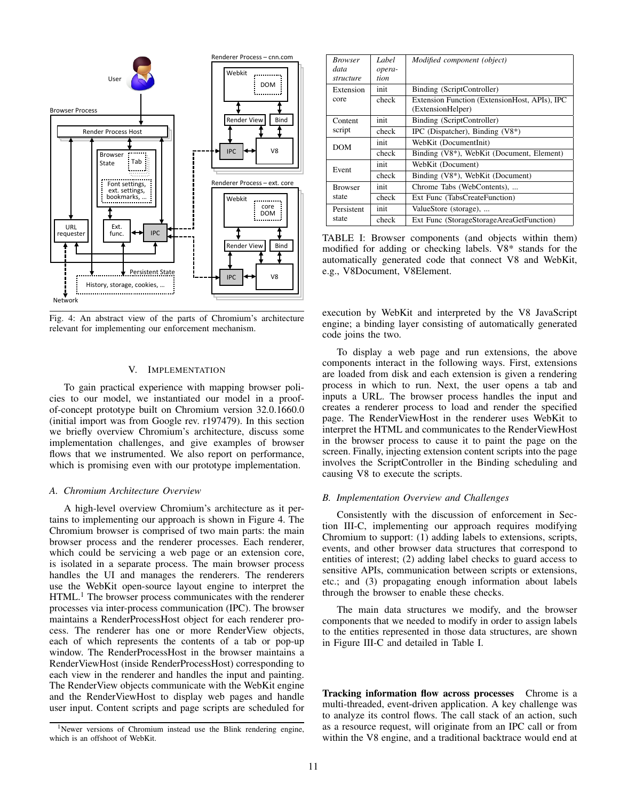

Fig. 4: An abstract view of the parts of Chromium's architecture relevant for implementing our enforcement mechanism.

## V. IMPLEMENTATION

To gain practical experience with mapping browser policies to our model, we instantiated our model in a proofof-concept prototype built on Chromium version 32.0.1660.0 (initial import was from Google rev. r197479). In this section we briefly overview Chromium's architecture, discuss some implementation challenges, and give examples of browser flows that we instrumented. We also report on performance, which is promising even with our prototype implementation.

#### *A. Chromium Architecture Overview*

A high-level overview Chromium's architecture as it pertains to implementing our approach is shown in Figure 4. The Chromium browser is comprised of two main parts: the main browser process and the renderer processes. Each renderer, which could be servicing a web page or an extension core, is isolated in a separate process. The main browser process handles the UI and manages the renderers. The renderers use the WebKit open-source layout engine to interpret the  $HTML<sup>1</sup>$ . The browser process communicates with the renderer processes via inter-process communication (IPC). The browser maintains a RenderProcessHost object for each renderer process. The renderer has one or more RenderView objects, each of which represents the contents of a tab or pop-up window. The RenderProcessHost in the browser maintains a RenderViewHost (inside RenderProcessHost) corresponding to each view in the renderer and handles the input and painting. The RenderView objects communicate with the WebKit engine and the RenderViewHost to display web pages and handle user input. Content scripts and page scripts are scheduled for

| <i>Browser</i><br>data<br>structure | Label<br>opera-<br>tion | Modified component (object)                                        |  |  |  |
|-------------------------------------|-------------------------|--------------------------------------------------------------------|--|--|--|
| Extension                           | init                    | Binding (ScriptController)                                         |  |  |  |
| core                                | check                   | Extension Function (ExtensionHost, APIs), IPC<br>(ExtensionHelper) |  |  |  |
| Content<br>script                   | init                    | Binding (ScriptController)                                         |  |  |  |
|                                     | check                   | IPC (Dispatcher), Binding $(V8*)$                                  |  |  |  |
| <b>DOM</b>                          | init                    | WebKit (DocumentInit)                                              |  |  |  |
|                                     | check                   | Binding (V8*), WebKit (Document, Element)                          |  |  |  |
| Event                               | init                    | WebKit (Document)                                                  |  |  |  |
|                                     | check                   | Binding (V8*), WebKit (Document)                                   |  |  |  |
| <b>Browser</b><br>state             | init                    | Chrome Tabs (WebContents),                                         |  |  |  |
|                                     | check                   | Ext Func (TabsCreateFunction)                                      |  |  |  |
| Persistent                          | init                    | ValueStore (storage),                                              |  |  |  |
| state                               | check                   | Ext Func (StorageStorageAreaGetFunction)                           |  |  |  |

TABLE I: Browser components (and objects within them) modified for adding or checking labels. V8\* stands for the automatically generated code that connect V8 and WebKit, e.g., V8Document, V8Element.

execution by WebKit and interpreted by the V8 JavaScript engine; a binding layer consisting of automatically generated code joins the two.

To display a web page and run extensions, the above components interact in the following ways. First, extensions are loaded from disk and each extension is given a rendering process in which to run. Next, the user opens a tab and inputs a URL. The browser process handles the input and creates a renderer process to load and render the specified page. The RenderViewHost in the renderer uses WebKit to interpret the HTML and communicates to the RenderViewHost in the browser process to cause it to paint the page on the screen. Finally, injecting extension content scripts into the page involves the ScriptController in the Binding scheduling and causing V8 to execute the scripts.

## *B. Implementation Overview and Challenges*

Consistently with the discussion of enforcement in Section III-C, implementing our approach requires modifying Chromium to support: (1) adding labels to extensions, scripts, events, and other browser data structures that correspond to entities of interest; (2) adding label checks to guard access to sensitive APIs, communication between scripts or extensions, etc.; and (3) propagating enough information about labels through the browser to enable these checks.

The main data structures we modify, and the browser components that we needed to modify in order to assign labels to the entities represented in those data structures, are shown in Figure III-C and detailed in Table I.

Tracking information flow across processes Chrome is a multi-threaded, event-driven application. A key challenge was to analyze its control flows. The call stack of an action, such as a resource request, will originate from an IPC call or from within the V8 engine, and a traditional backtrace would end at

<sup>&</sup>lt;sup>1</sup>Newer versions of Chromium instead use the Blink rendering engine, which is an offshoot of WebKit.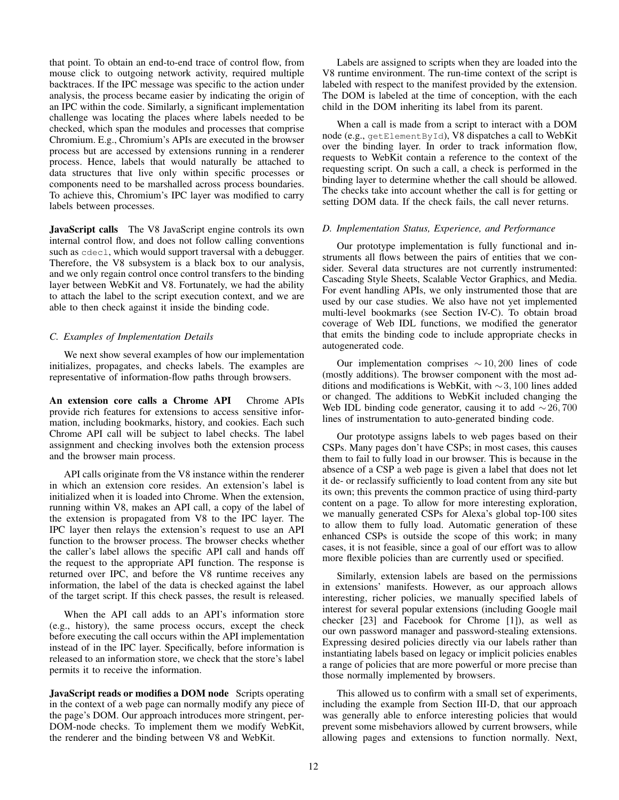that point. To obtain an end-to-end trace of control flow, from mouse click to outgoing network activity, required multiple backtraces. If the IPC message was specific to the action under analysis, the process became easier by indicating the origin of an IPC within the code. Similarly, a significant implementation challenge was locating the places where labels needed to be checked, which span the modules and processes that comprise Chromium. E.g., Chromium's APIs are executed in the browser process but are accessed by extensions running in a renderer process. Hence, labels that would naturally be attached to data structures that live only within specific processes or components need to be marshalled across process boundaries. To achieve this, Chromium's IPC layer was modified to carry labels between processes.

JavaScript calls The V8 JavaScript engine controls its own internal control flow, and does not follow calling conventions such as cdecl, which would support traversal with a debugger. Therefore, the V8 subsystem is a black box to our analysis, and we only regain control once control transfers to the binding layer between WebKit and V8. Fortunately, we had the ability to attach the label to the script execution context, and we are able to then check against it inside the binding code.

## *C. Examples of Implementation Details*

We next show several examples of how our implementation initializes, propagates, and checks labels. The examples are representative of information-flow paths through browsers.

An extension core calls a Chrome API Chrome APIs provide rich features for extensions to access sensitive information, including bookmarks, history, and cookies. Each such Chrome API call will be subject to label checks. The label assignment and checking involves both the extension process and the browser main process.

API calls originate from the V8 instance within the renderer in which an extension core resides. An extension's label is initialized when it is loaded into Chrome. When the extension, running within V8, makes an API call, a copy of the label of the extension is propagated from V8 to the IPC layer. The IPC layer then relays the extension's request to use an API function to the browser process. The browser checks whether the caller's label allows the specific API call and hands off the request to the appropriate API function. The response is returned over IPC, and before the V8 runtime receives any information, the label of the data is checked against the label of the target script. If this check passes, the result is released.

When the API call adds to an API's information store (e.g., history), the same process occurs, except the check before executing the call occurs within the API implementation instead of in the IPC layer. Specifically, before information is released to an information store, we check that the store's label permits it to receive the information.

JavaScript reads or modifies a DOM node Scripts operating in the context of a web page can normally modify any piece of the page's DOM. Our approach introduces more stringent, per-DOM-node checks. To implement them we modify WebKit, the renderer and the binding between V8 and WebKit.

Labels are assigned to scripts when they are loaded into the V8 runtime environment. The run-time context of the script is labeled with respect to the manifest provided by the extension. The DOM is labeled at the time of conception, with the each child in the DOM inheriting its label from its parent.

When a call is made from a script to interact with a DOM node (e.g., getElementById), V8 dispatches a call to WebKit over the binding layer. In order to track information flow, requests to WebKit contain a reference to the context of the requesting script. On such a call, a check is performed in the binding layer to determine whether the call should be allowed. The checks take into account whether the call is for getting or setting DOM data. If the check fails, the call never returns.

## *D. Implementation Status, Experience, and Performance*

Our prototype implementation is fully functional and instruments all flows between the pairs of entities that we consider. Several data structures are not currently instrumented: Cascading Style Sheets, Scalable Vector Graphics, and Media. For event handling APIs, we only instrumented those that are used by our case studies. We also have not yet implemented multi-level bookmarks (see Section IV-C). To obtain broad coverage of Web IDL functions, we modified the generator that emits the binding code to include appropriate checks in autogenerated code.

Our implementation comprises  $\sim$  10, 200 lines of code (mostly additions). The browser component with the most additions and modifications is WebKit, with ∼3, 100 lines added or changed. The additions to WebKit included changing the Web IDL binding code generator, causing it to add ∼26, 700 lines of instrumentation to auto-generated binding code.

Our prototype assigns labels to web pages based on their CSPs. Many pages don't have CSPs; in most cases, this causes them to fail to fully load in our browser. This is because in the absence of a CSP a web page is given a label that does not let it de- or reclassify sufficiently to load content from any site but its own; this prevents the common practice of using third-party content on a page. To allow for more interesting exploration, we manually generated CSPs for Alexa's global top-100 sites to allow them to fully load. Automatic generation of these enhanced CSPs is outside the scope of this work; in many cases, it is not feasible, since a goal of our effort was to allow more flexible policies than are currently used or specified.

Similarly, extension labels are based on the permissions in extensions' manifests. However, as our approach allows interesting, richer policies, we manually specified labels of interest for several popular extensions (including Google mail checker [23] and Facebook for Chrome [1]), as well as our own password manager and password-stealing extensions. Expressing desired policies directly via our labels rather than instantiating labels based on legacy or implicit policies enables a range of policies that are more powerful or more precise than those normally implemented by browsers.

This allowed us to confirm with a small set of experiments, including the example from Section III-D, that our approach was generally able to enforce interesting policies that would prevent some misbehaviors allowed by current browsers, while allowing pages and extensions to function normally. Next,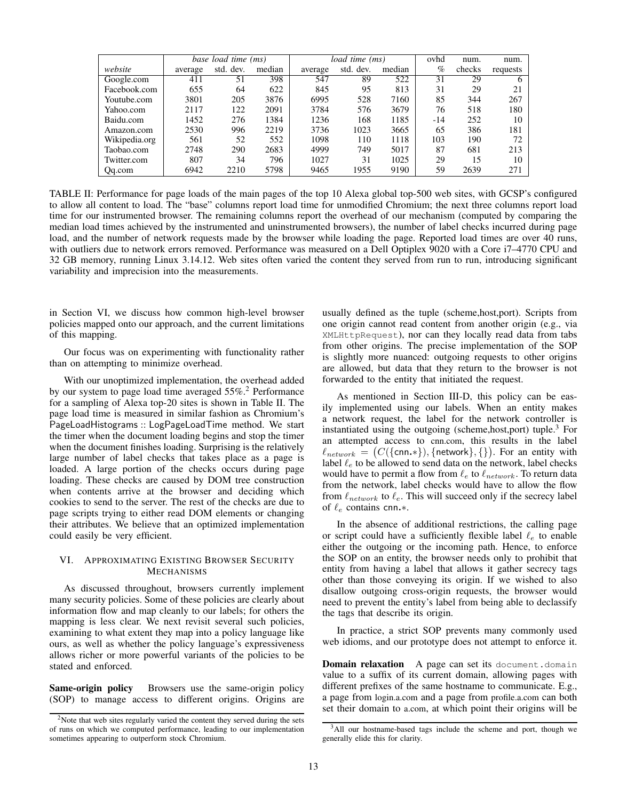|               |         | base load time (ms) |        |         | load time (ms) |        | ovhd  | num.   | num.     |
|---------------|---------|---------------------|--------|---------|----------------|--------|-------|--------|----------|
| website       | average | std. dev.           | median | average | std. dev.      | median | $\%$  | checks | requests |
| Google.com    | 411     | 51                  | 398    | 547     | 89             | 522    | 31    | 29     | 6        |
| Facebook.com  | 655     | 64                  | 622    | 845     | 95             | 813    | 31    | 29     | 21       |
| Youtube.com   | 3801    | 205                 | 3876   | 6995    | 528            | 7160   | 85    | 344    | 267      |
| Yahoo.com     | 2117    | 122                 | 2091   | 3784    | 576            | 3679   | 76    | 518    | 180      |
| Baidu.com     | 1452    | 276                 | 1384   | 1236    | 168            | 1185   | $-14$ | 252    | 10       |
| Amazon.com    | 2530    | 996                 | 2219   | 3736    | 1023           | 3665   | 65    | 386    | 181      |
| Wikipedia.org | 561     | 52                  | 552    | 1098    | 110            | 1118   | 103   | 190    | 72       |
| Taobao.com    | 2748    | 290                 | 2683   | 4999    | 749            | 5017   | 87    | 681    | 213      |
| Twitter.com   | 807     | 34                  | 796    | 1027    | 31             | 1025   | 29    | 15     | 10       |
| Og.com        | 6942    | 2210                | 5798   | 9465    | 1955           | 9190   | 59    | 2639   | 271      |

TABLE II: Performance for page loads of the main pages of the top 10 Alexa global top-500 web sites, with GCSP's configured to allow all content to load. The "base" columns report load time for unmodified Chromium; the next three columns report load time for our instrumented browser. The remaining columns report the overhead of our mechanism (computed by comparing the median load times achieved by the instrumented and uninstrumented browsers), the number of label checks incurred during page load, and the number of network requests made by the browser while loading the page. Reported load times are over 40 runs, with outliers due to network errors removed. Performance was measured on a Dell Optiplex 9020 with a Core i7–4770 CPU and 32 GB memory, running Linux 3.14.12. Web sites often varied the content they served from run to run, introducing significant variability and imprecision into the measurements.

in Section VI, we discuss how common high-level browser policies mapped onto our approach, and the current limitations of this mapping.

Our focus was on experimenting with functionality rather than on attempting to minimize overhead.

With our unoptimized implementation, the overhead added by our system to page load time averaged 55%.<sup>2</sup> Performance for a sampling of Alexa top-20 sites is shown in Table II. The page load time is measured in similar fashion as Chromium's PageLoadHistograms :: LogPageLoadTime method. We start the timer when the document loading begins and stop the timer when the document finishes loading. Surprising is the relatively large number of label checks that takes place as a page is loaded. A large portion of the checks occurs during page loading. These checks are caused by DOM tree construction when contents arrive at the browser and deciding which cookies to send to the server. The rest of the checks are due to page scripts trying to either read DOM elements or changing their attributes. We believe that an optimized implementation could easily be very efficient.

## VI. APPROXIMATING EXISTING BROWSER SECURITY MECHANISMS

As discussed throughout, browsers currently implement many security policies. Some of these policies are clearly about information flow and map cleanly to our labels; for others the mapping is less clear. We next revisit several such policies, examining to what extent they map into a policy language like ours, as well as whether the policy language's expressiveness allows richer or more powerful variants of the policies to be stated and enforced.

Same-origin policy Browsers use the same-origin policy (SOP) to manage access to different origins. Origins are usually defined as the tuple (scheme,host,port). Scripts from one origin cannot read content from another origin (e.g., via XMLHttpRequest), nor can they locally read data from tabs from other origins. The precise implementation of the SOP is slightly more nuanced: outgoing requests to other origins are allowed, but data that they return to the browser is not forwarded to the entity that initiated the request.

As mentioned in Section III-D, this policy can be easily implemented using our labels. When an entity makes a network request, the label for the network controller is instantiated using the outgoing (scheme,host,port) tuple.<sup>3</sup> For an attempted access to cnn.com, this results in the label  $\ell_{network} = (C({\text{cnn.*}}), {\text{network}}, \{\})$ . For an entity with label  $\ell_e$  to be allowed to send data on the network, label checks would have to permit a flow from  $\ell_e$  to  $\ell_{network}$ . To return data from the network, label checks would have to allow the flow from  $\ell_{network}$  to  $\ell_e$ . This will succeed only if the secrecy label of  $\ell_e$  contains cnn.∗.

In the absence of additional restrictions, the calling page or script could have a sufficiently flexible label  $\ell_e$  to enable either the outgoing or the incoming path. Hence, to enforce the SOP on an entity, the browser needs only to prohibit that entity from having a label that allows it gather secrecy tags other than those conveying its origin. If we wished to also disallow outgoing cross-origin requests, the browser would need to prevent the entity's label from being able to declassify the tags that describe its origin.

In practice, a strict SOP prevents many commonly used web idioms, and our prototype does not attempt to enforce it.

**Domain relaxation** A page can set its document.domain value to a suffix of its current domain, allowing pages with different prefixes of the same hostname to communicate. E.g., a page from login.a.com and a page from profile.a.com can both set their domain to a.com, at which point their origins will be

 $2$ Note that web sites regularly varied the content they served during the sets of runs on which we computed performance, leading to our implementation sometimes appearing to outperform stock Chromium.

<sup>&</sup>lt;sup>3</sup>All our hostname-based tags include the scheme and port, though we generally elide this for clarity.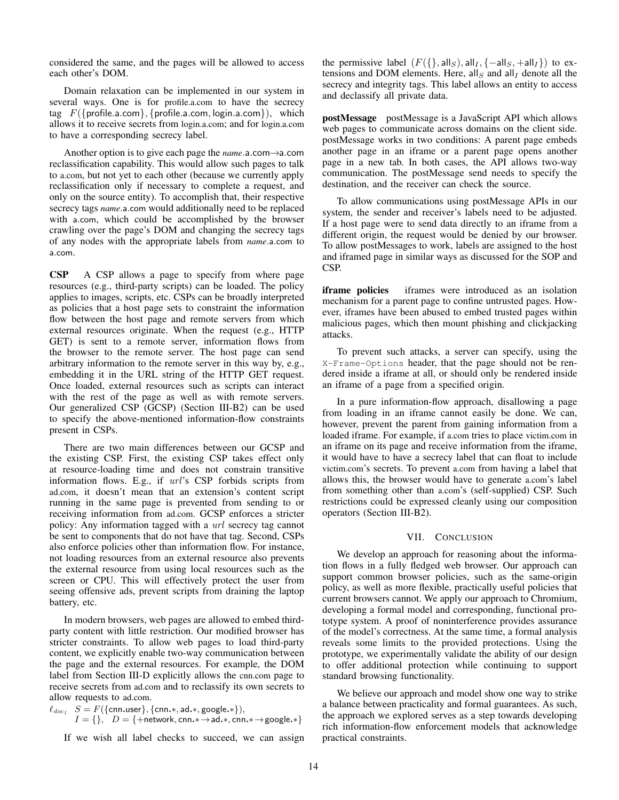considered the same, and the pages will be allowed to access each other's DOM.

Domain relaxation can be implemented in our system in several ways. One is for profile.a.com to have the secrecy tag  $F({\text{profile.a.com}}, {\text{profile.a.com}}, \text{login.a.com}),$  which allows it to receive secrets from login.a.com; and for login.a.com to have a corresponding secrecy label.

Another option is to give each page the *name*.a.com→a.com reclassification capability. This would allow such pages to talk to a.com, but not yet to each other (because we currently apply reclassification only if necessary to complete a request, and only on the source entity). To accomplish that, their respective secrecy tags *name*.a.com would additionally need to be replaced with a.com, which could be accomplished by the browser crawling over the page's DOM and changing the secrecy tags of any nodes with the appropriate labels from *name*.a.com to a.com.

CSP A CSP allows a page to specify from where page resources (e.g., third-party scripts) can be loaded. The policy applies to images, scripts, etc. CSPs can be broadly interpreted as policies that a host page sets to constraint the information flow between the host page and remote servers from which external resources originate. When the request (e.g., HTTP GET) is sent to a remote server, information flows from the browser to the remote server. The host page can send arbitrary information to the remote server in this way by, e.g., embedding it in the URL string of the HTTP GET request. Once loaded, external resources such as scripts can interact with the rest of the page as well as with remote servers. Our generalized CSP (GCSP) (Section III-B2) can be used to specify the above-mentioned information-flow constraints present in CSPs.

There are two main differences between our GCSP and the existing CSP. First, the existing CSP takes effect only at resource-loading time and does not constrain transitive information flows. E.g., if url's CSP forbids scripts from ad.com, it doesn't mean that an extension's content script running in the same page is prevented from sending to or receiving information from ad.com. GCSP enforces a stricter policy: Any information tagged with a url secrecy tag cannot be sent to components that do not have that tag. Second, CSPs also enforce policies other than information flow. For instance, not loading resources from an external resource also prevents the external resource from using local resources such as the screen or CPU. This will effectively protect the user from seeing offensive ads, prevent scripts from draining the laptop battery, etc.

In modern browsers, web pages are allowed to embed thirdparty content with little restriction. Our modified browser has stricter constraints. To allow web pages to load third-party content, we explicitly enable two-way communication between the page and the external resources. For example, the DOM label from Section III-D explicitly allows the cnn.com page to receive secrets from ad.com and to reclassify its own secrets to allow requests to ad.com.

 $\ell_{doc_1}$   $S = F({\text{conn}.\text{user}}, {\text{conn}.*}, \text{ad.*}, {\text{google.*}}),$ 

$$
I = \{\}, \quad D = \{\text{+network}, \text{cnn.*} \rightarrow \text{ad.*}, \text{cnn.*} \rightarrow \text{google.*}\}
$$

If we wish all label checks to succeed, we can assign

the permissive label  $(F({}, all_S), all_I, {-}all_S, +all_I)$  to extensions and DOM elements. Here, all<sub>S</sub> and all<sub>I</sub> denote all the secrecy and integrity tags. This label allows an entity to access and declassify all private data.

postMessage postMessage is a JavaScript API which allows web pages to communicate across domains on the client side. postMessage works in two conditions: A parent page embeds another page in an iframe or a parent page opens another page in a new tab. In both cases, the API allows two-way communication. The postMessage send needs to specify the destination, and the receiver can check the source.

To allow communications using postMessage APIs in our system, the sender and receiver's labels need to be adjusted. If a host page were to send data directly to an iframe from a different origin, the request would be denied by our browser. To allow postMessages to work, labels are assigned to the host and iframed page in similar ways as discussed for the SOP and CSP.

**iframe policies** iframes were introduced as an isolation mechanism for a parent page to confine untrusted pages. However, iframes have been abused to embed trusted pages within malicious pages, which then mount phishing and clickjacking attacks.

To prevent such attacks, a server can specify, using the X-Frame-Options header, that the page should not be rendered inside a iframe at all, or should only be rendered inside an iframe of a page from a specified origin.

In a pure information-flow approach, disallowing a page from loading in an iframe cannot easily be done. We can, however, prevent the parent from gaining information from a loaded iframe. For example, if a.com tries to place victim.com in an iframe on its page and receive information from the iframe, it would have to have a secrecy label that can float to include victim.com's secrets. To prevent a.com from having a label that allows this, the browser would have to generate a.com's label from something other than a.com's (self-supplied) CSP. Such restrictions could be expressed cleanly using our composition operators (Section III-B2).

## VII. CONCLUSION

We develop an approach for reasoning about the information flows in a fully fledged web browser. Our approach can support common browser policies, such as the same-origin policy, as well as more flexible, practically useful policies that current browsers cannot. We apply our approach to Chromium, developing a formal model and corresponding, functional prototype system. A proof of noninterference provides assurance of the model's correctness. At the same time, a formal analysis reveals some limits to the provided protections. Using the prototype, we experimentally validate the ability of our design to offer additional protection while continuing to support standard browsing functionality.

We believe our approach and model show one way to strike a balance between practicality and formal guarantees. As such, the approach we explored serves as a step towards developing rich information-flow enforcement models that acknowledge practical constraints.